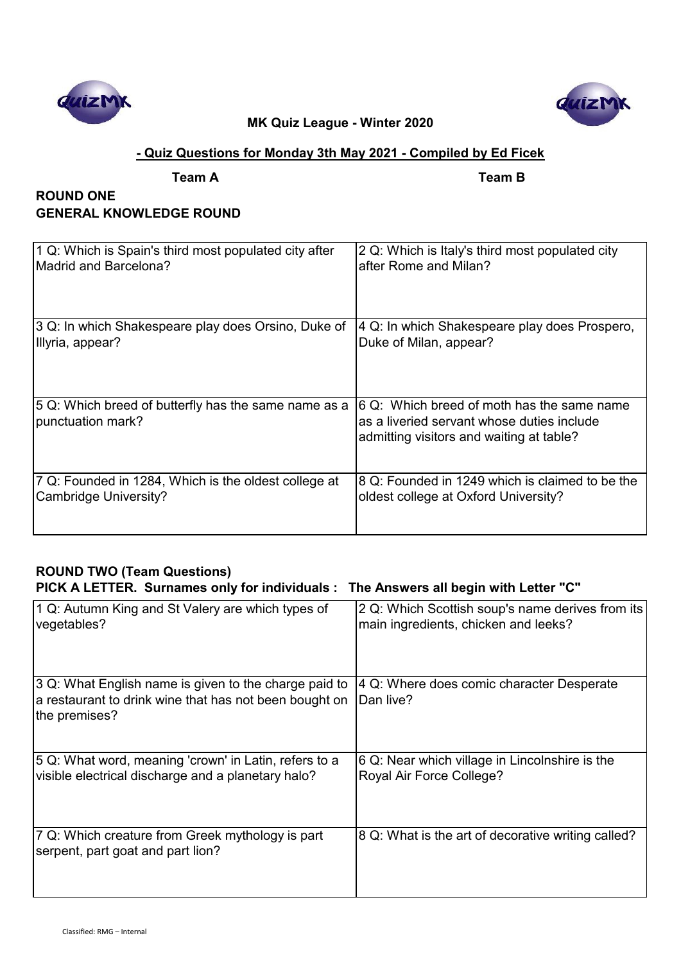



## **- Quiz Questions for Monday 3th May 2021 - Compiled by Ed Ficek**

**Team A Team B**

## **ROUND ONE GENERAL KNOWLEDGE ROUND**

| 1 Q: Which is Spain's third most populated city after                     | 2 Q: Which is Italy's third most populated city                                                                                      |
|---------------------------------------------------------------------------|--------------------------------------------------------------------------------------------------------------------------------------|
| Madrid and Barcelona?                                                     | after Rome and Milan?                                                                                                                |
| 3 Q: In which Shakespeare play does Orsino, Duke of                       | 4 Q: In which Shakespeare play does Prospero,                                                                                        |
| Illyria, appear?                                                          | Duke of Milan, appear?                                                                                                               |
| 5 Q: Which breed of butterfly has the same name as a<br>punctuation mark? | 6 Q: Which breed of moth has the same name<br>as a liveried servant whose duties include<br>admitting visitors and waiting at table? |
| 7 Q: Founded in 1284, Which is the oldest college at                      | 8 Q: Founded in 1249 which is claimed to be the                                                                                      |
| Cambridge University?                                                     | oldest college at Oxford University?                                                                                                 |

# **ROUND TWO (Team Questions)**

# **PICK A LETTER. Surnames only for individuals : The Answers all begin with Letter "C"**

| 1 Q: Autumn King and St Valery are which types of                                                                                | 2 Q: Which Scottish soup's name derives from its       |
|----------------------------------------------------------------------------------------------------------------------------------|--------------------------------------------------------|
| vegetables?                                                                                                                      | main ingredients, chicken and leeks?                   |
| 3 Q: What English name is given to the charge paid to<br>a restaurant to drink wine that has not been bought on<br>the premises? | 4 Q: Where does comic character Desperate<br>Dan live? |
| 5 Q: What word, meaning 'crown' in Latin, refers to a                                                                            | 6 Q: Near which village in Lincolnshire is the         |
| visible electrical discharge and a planetary halo?                                                                               | Royal Air Force College?                               |
| 7 Q: Which creature from Greek mythology is part<br>serpent, part goat and part lion?                                            | 8 Q: What is the art of decorative writing called?     |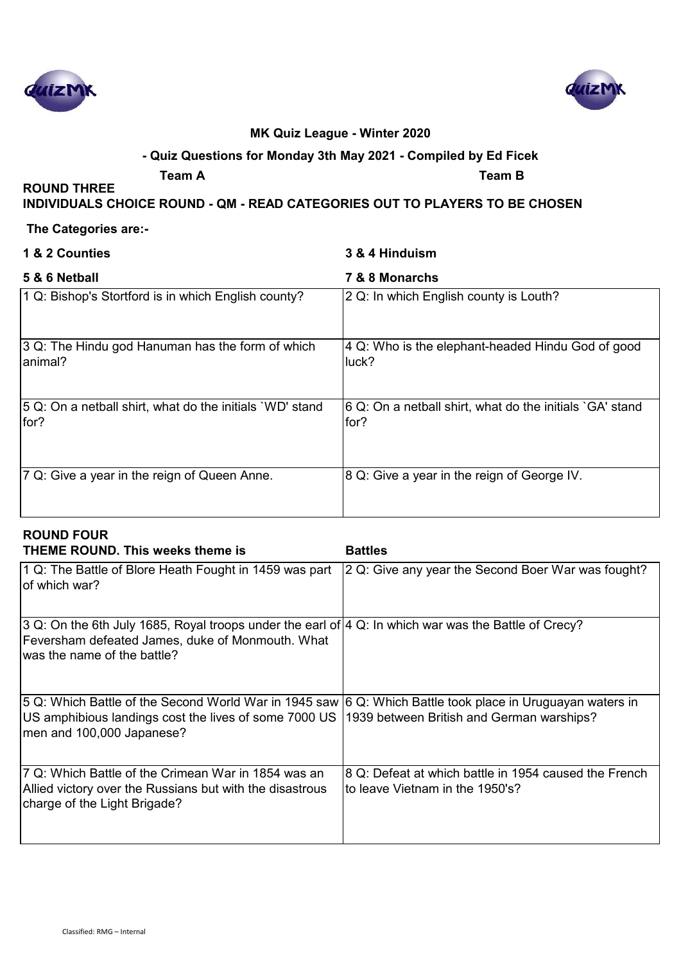



## **- Quiz Questions for Monday 3th May 2021 - Compiled by Ed Ficek**

**ROUND THREE** 

**Team A Team B**

#### **INDIVIDUALS CHOICE ROUND - QM - READ CATEGORIES OUT TO PLAYERS TO BE CHOSEN**

#### **The Categories are:-**

| 1 & 2 Counties                                                    | 3 & 4 Hinduism                                                   |
|-------------------------------------------------------------------|------------------------------------------------------------------|
| 5 & 6 Netball                                                     | 7 & 8 Monarchs                                                   |
| 1 Q: Bishop's Stortford is in which English county?               | 2 Q: In which English county is Louth?                           |
| 3 Q: The Hindu god Hanuman has the form of which<br>animal?       | 4 Q: Who is the elephant-headed Hindu God of good<br>luck?       |
| [5 Q: On a netball shirt, what do the initials `WD' stand<br>for? | 6 Q: On a netball shirt, what do the initials `GA' stand<br>for? |
| 7 Q: Give a year in the reign of Queen Anne.                      | 8 Q: Give a year in the reign of George IV.                      |

## **ROUND FOUR**

| <b>THEME ROUND. This weeks theme is</b>                                                                                                                                                                                                    | <b>Battles</b>                                                                           |
|--------------------------------------------------------------------------------------------------------------------------------------------------------------------------------------------------------------------------------------------|------------------------------------------------------------------------------------------|
| 1 Q: The Battle of Blore Heath Fought in 1459 was part<br>of which war?                                                                                                                                                                    | 2 Q: Give any year the Second Boer War was fought?                                       |
| 3 Q: On the 6th July 1685, Royal troops under the earl of 4 Q: In which war was the Battle of Crecy?<br>Feversham defeated James, duke of Monmouth. What<br>was the name of the battle?                                                    |                                                                                          |
| 5 Q: Which Battle of the Second World War in 1945 saw 6 Q: Which Battle took place in Uruguayan waters in<br>US amphibious landings cost the lives of some 7000 US  1939 between British and German warships?<br>men and 100,000 Japanese? |                                                                                          |
| 7 Q: Which Battle of the Crimean War in 1854 was an<br>Allied victory over the Russians but with the disastrous<br>charge of the Light Brigade?                                                                                            | 8 Q: Defeat at which battle in 1954 caused the French<br>to leave Vietnam in the 1950's? |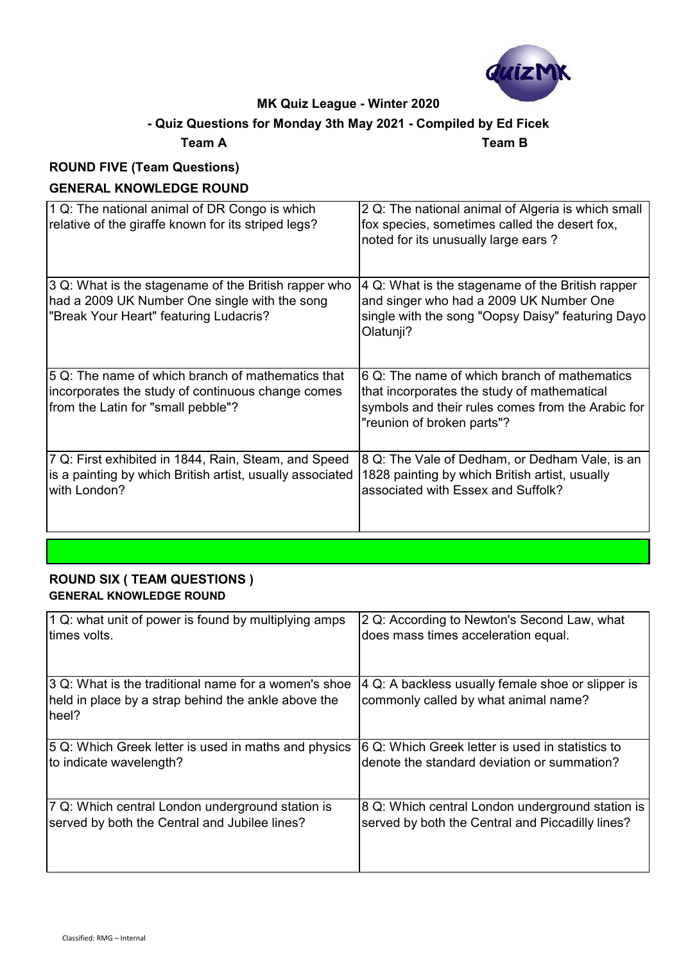

## **- Quiz Questions for Monday 3th May 2021 - Compiled by Ed Ficek**

**Team A Team B**

# **ROUND FIVE (Team Questions)**

## **GENERAL KNOWLEDGE ROUND**

| 1 Q: The national animal of DR Congo is which<br>relative of the giraffe known for its striped legs?                                            | 2 Q: The national animal of Algeria is which small<br>fox species, sometimes called the desert fox,<br>noted for its unusually large ears?                                     |
|-------------------------------------------------------------------------------------------------------------------------------------------------|--------------------------------------------------------------------------------------------------------------------------------------------------------------------------------|
| 3 Q: What is the stagename of the British rapper who<br>had a 2009 UK Number One single with the song<br>"Break Your Heart" featuring Ludacris? | 4 Q: What is the stagename of the British rapper<br>and singer who had a 2009 UK Number One<br>single with the song "Oopsy Daisy" featuring Dayo<br>Olatunji?                  |
| 5 Q: The name of which branch of mathematics that<br>incorporates the study of continuous change comes<br>from the Latin for "small pebble"?    | 6 Q: The name of which branch of mathematics<br>that incorporates the study of mathematical<br>symbols and their rules comes from the Arabic for<br>"reunion of broken parts"? |
| 7 Q: First exhibited in 1844, Rain, Steam, and Speed<br>is a painting by which British artist, usually associated<br>with London?               | 8 Q: The Vale of Dedham, or Dedham Vale, is an<br>1828 painting by which British artist, usually<br>associated with Essex and Suffolk?                                         |

#### **ROUND SIX ( TEAM QUESTIONS ) GENERAL KNOWLEDGE ROUND**

| 1 Q: what unit of power is found by multiplying amps                                                                 | 2 Q: According to Newton's Second Law, what                                               |
|----------------------------------------------------------------------------------------------------------------------|-------------------------------------------------------------------------------------------|
| times volts.                                                                                                         | does mass times acceleration equal.                                                       |
| 3 Q: What is the traditional name for a women's shoe<br>held in place by a strap behind the ankle above the<br>heel? | 4 Q: A backless usually female shoe or slipper is<br>commonly called by what animal name? |
| 5 Q: Which Greek letter is used in maths and physics                                                                 | 6 Q: Which Greek letter is used in statistics to                                          |
| to indicate wavelength?                                                                                              | denote the standard deviation or summation?                                               |
| 7 Q: Which central London underground station is                                                                     | 8 Q: Which central London underground station is                                          |
| served by both the Central and Jubilee lines?                                                                        | served by both the Central and Piccadilly lines?                                          |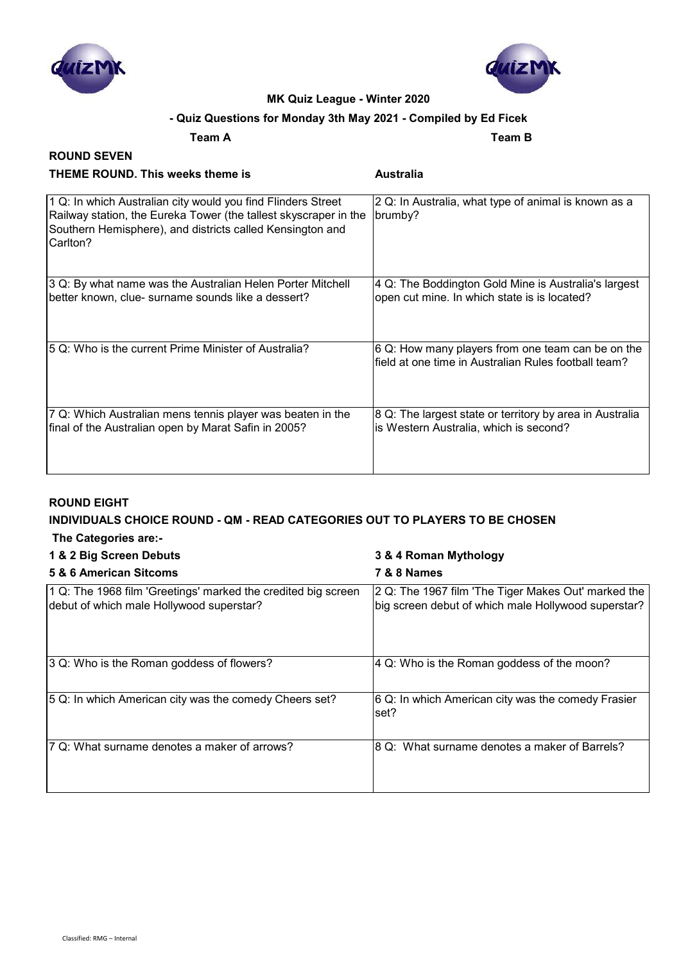



## **- Quiz Questions for Monday 3th May 2021 - Compiled by Ed Ficek**

**Team A Team B**

#### **ROUND SEVEN THEME ROUND. This weeks theme is Australia**

| 1 Q: In which Australian city would you find Flinders Street<br>Railway station, the Eureka Tower (the tallest skyscraper in the<br>Southern Hemisphere), and districts called Kensington and<br>Carlton? | 2 Q: In Australia, what type of animal is known as a<br>brumby?                                           |
|-----------------------------------------------------------------------------------------------------------------------------------------------------------------------------------------------------------|-----------------------------------------------------------------------------------------------------------|
| 3 Q: By what name was the Australian Helen Porter Mitchell<br>better known, clue- surname sounds like a dessert?                                                                                          | 4 Q: The Boddington Gold Mine is Australia's largest<br>open cut mine. In which state is is located?      |
| 15 Q: Who is the current Prime Minister of Australia?                                                                                                                                                     | 6 Q: How many players from one team can be on the<br>field at one time in Australian Rules football team? |
| 7 Q: Which Australian mens tennis player was beaten in the<br>final of the Australian open by Marat Safin in 2005?                                                                                        | 8 Q: The largest state or territory by area in Australia<br>is Western Australia, which is second?        |

#### **ROUND EIGHT**

# **INDIVIDUALS CHOICE ROUND - QM - READ CATEGORIES OUT TO PLAYERS TO BE CHOSEN**

|  | The Categories are:- |  |
|--|----------------------|--|
|--|----------------------|--|

#### **1 & 2 Big Screen Debuts 3 & 4 Roman Mythology**

| 5 & 6 American Sitcoms                                                                                    | <b>7 &amp; 8 Names</b>                                                                                     |
|-----------------------------------------------------------------------------------------------------------|------------------------------------------------------------------------------------------------------------|
| 1 Q: The 1968 film 'Greetings' marked the credited big screen<br>debut of which male Hollywood superstar? | 2 Q: The 1967 film 'The Tiger Makes Out' marked the<br>big screen debut of which male Hollywood superstar? |
| 3 Q: Who is the Roman goddess of flowers?                                                                 | 4 Q: Who is the Roman goddess of the moon?                                                                 |
| 5 Q: In which American city was the comedy Cheers set?                                                    | 6 Q: In which American city was the comedy Frasier<br>set?                                                 |
| 7 Q: What surname denotes a maker of arrows?                                                              | 8 Q: What surname denotes a maker of Barrels?                                                              |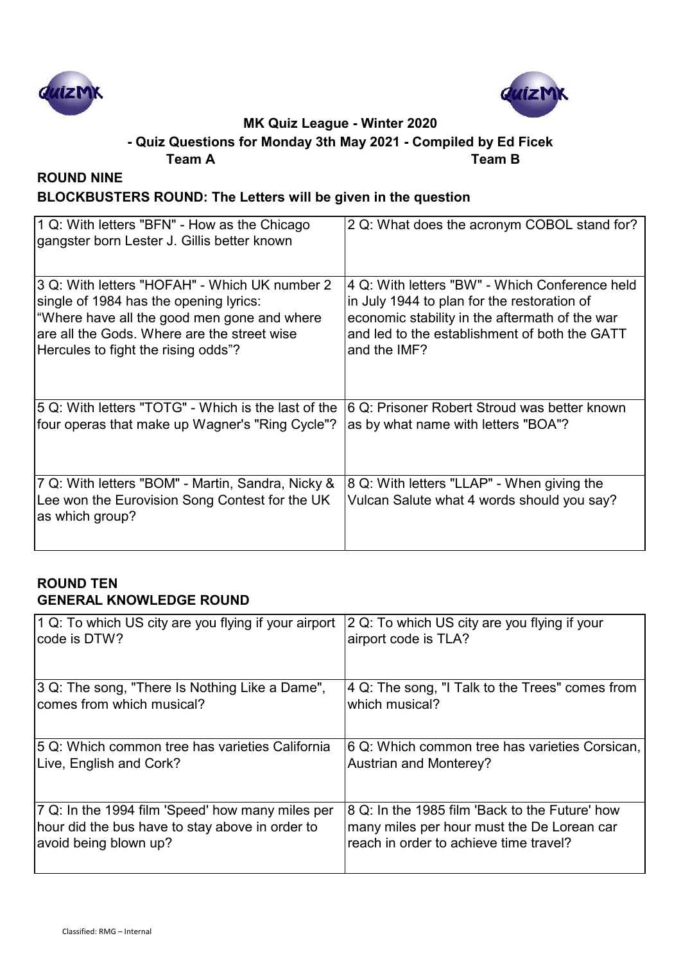



#### **Team A Team B - Quiz Questions for Monday 3th May 2021 - Compiled by Ed Ficek**

# **ROUND NINE BLOCKBUSTERS ROUND: The Letters will be given in the question**

| 1 Q: With letters "BFN" - How as the Chicago<br>gangster born Lester J. Gillis better known                            | 2 Q: What does the acronym COBOL stand for?                                              |
|------------------------------------------------------------------------------------------------------------------------|------------------------------------------------------------------------------------------|
| 3 Q: With letters "HOFAH" - Which UK number 2                                                                          | 4 Q: With letters "BW" - Which Conference held                                           |
| single of 1984 has the opening lyrics:                                                                                 | in July 1944 to plan for the restoration of                                              |
| "Where have all the good men gone and where                                                                            | economic stability in the aftermath of the war                                           |
| are all the Gods. Where are the street wise                                                                            | and led to the establishment of both the GATT                                            |
| Hercules to fight the rising odds"?                                                                                    | and the IMF?                                                                             |
| 5 Q: With letters "TOTG" - Which is the last of the                                                                    | 6 Q: Prisoner Robert Stroud was better known                                             |
| four operas that make up Wagner's "Ring Cycle"?                                                                        | as by what name with letters "BOA"?                                                      |
| 7 Q: With letters "BOM" - Martin, Sandra, Nicky &<br>Lee won the Eurovision Song Contest for the UK<br>as which group? | 8 Q: With letters "LLAP" - When giving the<br>Vulcan Salute what 4 words should you say? |

## **ROUND TEN GENERAL KNOWLEDGE ROUND**

| 1 Q: To which US city are you flying if your airport | 2 Q: To which US city are you flying if your    |
|------------------------------------------------------|-------------------------------------------------|
| code is DTW?                                         | airport code is TLA?                            |
| 3 Q: The song, "There Is Nothing Like a Dame",       | 4 Q: The song, "I Talk to the Trees" comes from |
| comes from which musical?                            | which musical?                                  |
| 5 Q: Which common tree has varieties California      | 6 Q: Which common tree has varieties Corsican,  |
| Live, English and Cork?                              | <b>Austrian and Monterey?</b>                   |
| 7 Q: In the 1994 film 'Speed' how many miles per     | 8 Q: In the 1985 film 'Back to the Future' how  |
| hour did the bus have to stay above in order to      | many miles per hour must the De Lorean car      |
| avoid being blown up?                                | reach in order to achieve time travel?          |